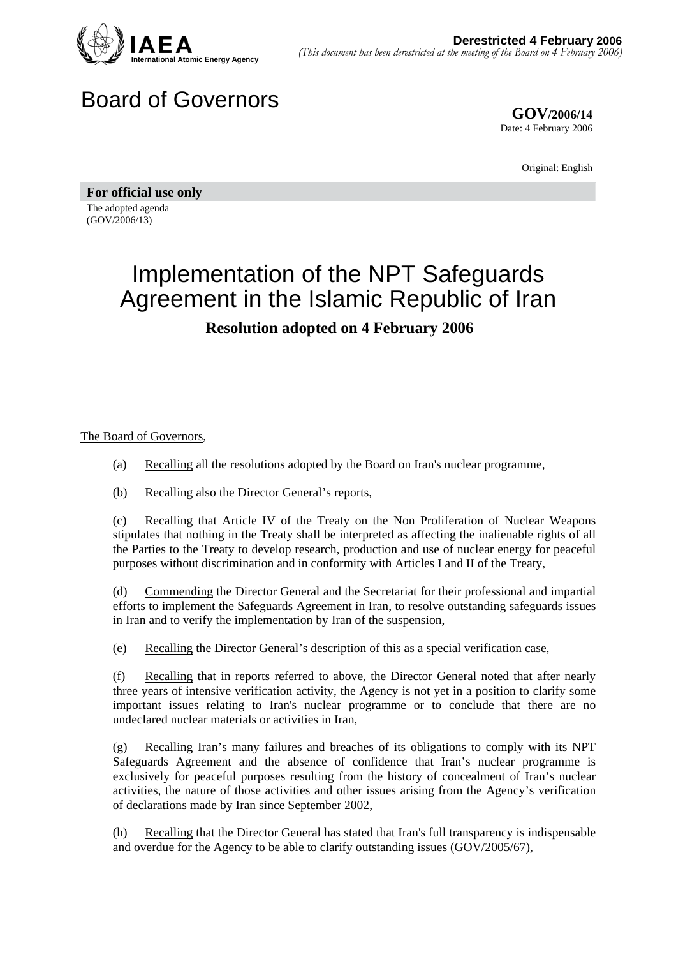

## Board of Governors

**GOV/2006/14** Date: 4 February 2006

Original: English

**For official use only** 

The adopted agenda (GOV/2006/13)

## Implementation of the NPT Safeguards Agreement in the Islamic Republic of Iran **Resolution adopted on 4 February 2006**

## The Board of Governors,

- (a) Recalling all the resolutions adopted by the Board on Iran's nuclear programme,
- (b) Recalling also the Director General's reports,

(c) Recalling that Article IV of the Treaty on the Non Proliferation of Nuclear Weapons stipulates that nothing in the Treaty shall be interpreted as affecting the inalienable rights of all the Parties to the Treaty to develop research, production and use of nuclear energy for peaceful purposes without discrimination and in conformity with Articles I and II of the Treaty,

(d) Commending the Director General and the Secretariat for their professional and impartial efforts to implement the Safeguards Agreement in Iran, to resolve outstanding safeguards issues in Iran and to verify the implementation by Iran of the suspension,

(e) Recalling the Director General's description of this as a special verification case,

(f) Recalling that in reports referred to above, the Director General noted that after nearly three years of intensive verification activity, the Agency is not yet in a position to clarify some important issues relating to Iran's nuclear programme or to conclude that there are no undeclared nuclear materials or activities in Iran,

(g) Recalling Iran's many failures and breaches of its obligations to comply with its NPT Safeguards Agreement and the absence of confidence that Iran's nuclear programme is exclusively for peaceful purposes resulting from the history of concealment of Iran's nuclear activities, the nature of those activities and other issues arising from the Agency's verification of declarations made by Iran since September 2002,

(h) Recalling that the Director General has stated that Iran's full transparency is indispensable and overdue for the Agency to be able to clarify outstanding issues (GOV/2005/67),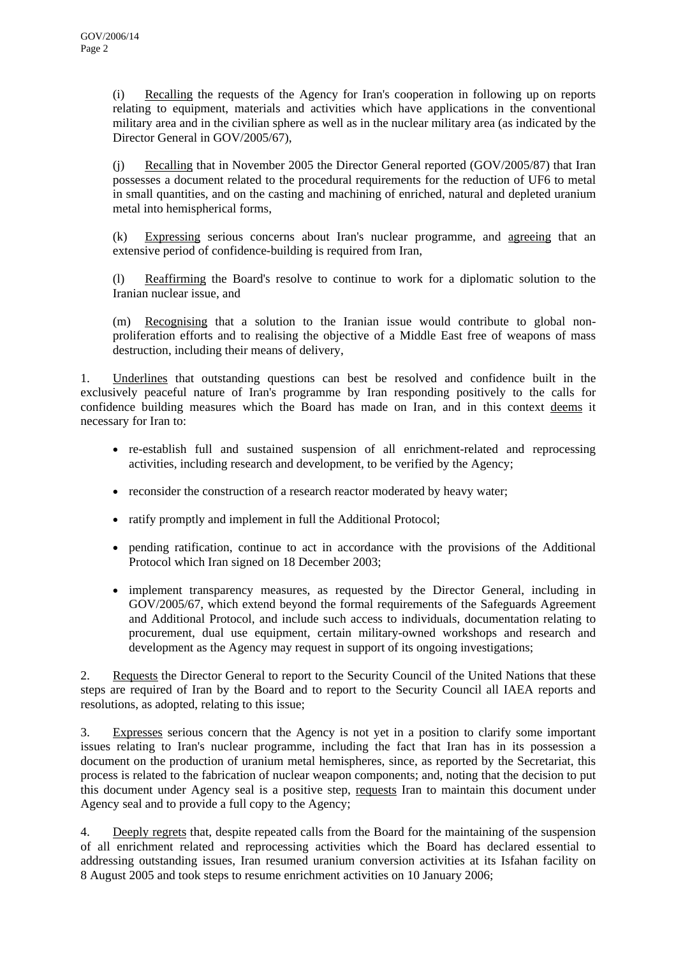(i) Recalling the requests of the Agency for Iran's cooperation in following up on reports relating to equipment, materials and activities which have applications in the conventional military area and in the civilian sphere as well as in the nuclear military area (as indicated by the Director General in GOV/2005/67),

(j) Recalling that in November 2005 the Director General reported (GOV/2005/87) that Iran possesses a document related to the procedural requirements for the reduction of UF6 to metal in small quantities, and on the casting and machining of enriched, natural and depleted uranium metal into hemispherical forms,

(k) Expressing serious concerns about Iran's nuclear programme, and agreeing that an extensive period of confidence-building is required from Iran,

(l) Reaffirming the Board's resolve to continue to work for a diplomatic solution to the Iranian nuclear issue, and

(m) Recognising that a solution to the Iranian issue would contribute to global nonproliferation efforts and to realising the objective of a Middle East free of weapons of mass destruction, including their means of delivery,

1. Underlines that outstanding questions can best be resolved and confidence built in the exclusively peaceful nature of Iran's programme by Iran responding positively to the calls for confidence building measures which the Board has made on Iran, and in this context deems it necessary for Iran to:

- re-establish full and sustained suspension of all enrichment-related and reprocessing activities, including research and development, to be verified by the Agency;
- reconsider the construction of a research reactor moderated by heavy water;
- ratify promptly and implement in full the Additional Protocol;
- pending ratification, continue to act in accordance with the provisions of the Additional Protocol which Iran signed on 18 December 2003;
- implement transparency measures, as requested by the Director General, including in GOV/2005/67, which extend beyond the formal requirements of the Safeguards Agreement and Additional Protocol, and include such access to individuals, documentation relating to procurement, dual use equipment, certain military-owned workshops and research and development as the Agency may request in support of its ongoing investigations;

2. Requests the Director General to report to the Security Council of the United Nations that these steps are required of Iran by the Board and to report to the Security Council all IAEA reports and resolutions, as adopted, relating to this issue;

3. Expresses serious concern that the Agency is not yet in a position to clarify some important issues relating to Iran's nuclear programme, including the fact that Iran has in its possession a document on the production of uranium metal hemispheres, since, as reported by the Secretariat, this process is related to the fabrication of nuclear weapon components; and, noting that the decision to put this document under Agency seal is a positive step, requests Iran to maintain this document under Agency seal and to provide a full copy to the Agency;

4. Deeply regrets that, despite repeated calls from the Board for the maintaining of the suspension of all enrichment related and reprocessing activities which the Board has declared essential to addressing outstanding issues, Iran resumed uranium conversion activities at its Isfahan facility on 8 August 2005 and took steps to resume enrichment activities on 10 January 2006;